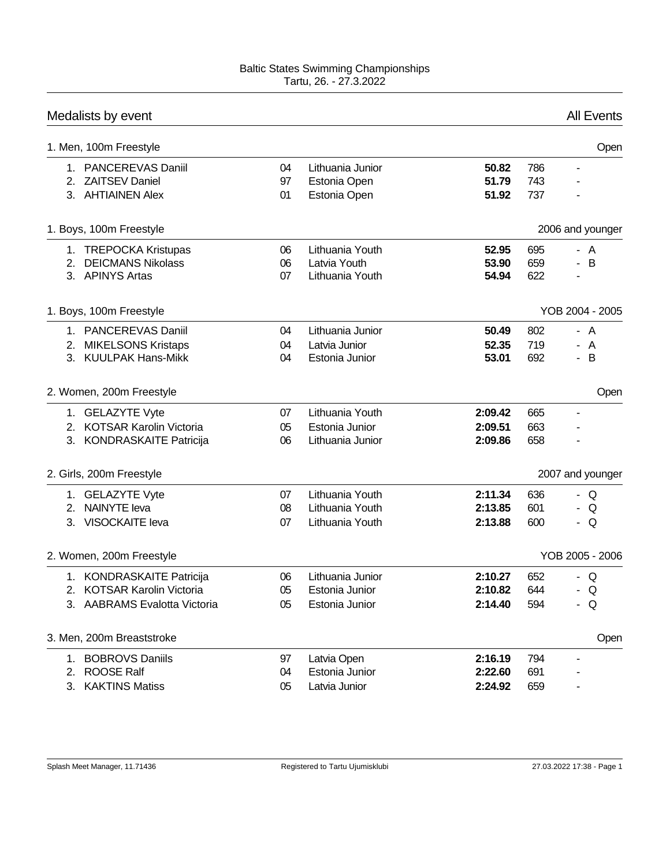|             | Medalists by event                                                                          |                |                                                       |                               |                   | <b>All Events</b>        |
|-------------|---------------------------------------------------------------------------------------------|----------------|-------------------------------------------------------|-------------------------------|-------------------|--------------------------|
|             | 1. Men, 100m Freestyle                                                                      |                |                                                       |                               |                   | Open                     |
|             | 1. PANCEREVAS Daniil<br>2. ZAITSEV Daniel<br>3. AHTIAINEN Alex                              | 04<br>97<br>01 | Lithuania Junior<br>Estonia Open<br>Estonia Open      | 50.82<br>51.79<br>51.92       | 786<br>743<br>737 |                          |
|             | 1. Boys, 100m Freestyle                                                                     |                |                                                       |                               |                   | 2006 and younger         |
|             | 1. TREPOCKA Kristupas<br>2. DEICMANS Nikolass<br>3. APINYS Artas                            | 06<br>06<br>07 | Lithuania Youth<br>Latvia Youth<br>Lithuania Youth    | 52.95<br>53.90<br>54.94       | 695<br>659<br>622 | - A<br>B<br>$\mathbf{r}$ |
|             | 1. Boys, 100m Freestyle                                                                     |                |                                                       |                               |                   | YOB 2004 - 2005          |
|             | 1. PANCEREVAS Daniil<br>2. MIKELSONS Kristaps<br>3. KUULPAK Hans-Mikk                       | 04<br>04<br>04 | Lithuania Junior<br>Latvia Junior<br>Estonia Junior   | 50.49<br>52.35<br>53.01       | 802<br>719<br>692 | - A<br>- A<br>- B        |
|             | 2. Women, 200m Freestyle                                                                    |                |                                                       |                               |                   | Open                     |
|             | 1. GELAZYTE Vyte<br>2. KOTSAR Karolin Victoria<br>3. KONDRASKAITE Patricija                 | 07<br>05<br>06 | Lithuania Youth<br>Estonia Junior<br>Lithuania Junior | 2:09.42<br>2:09.51<br>2:09.86 | 665<br>663<br>658 | $\blacksquare$<br>ä,     |
|             | 2. Girls, 200m Freestyle                                                                    |                |                                                       |                               |                   | 2007 and younger         |
|             | 1. GELAZYTE Vyte<br>2. NAINYTE leva<br>3. VISOCKAITE leva                                   | 07<br>08<br>07 | Lithuania Youth<br>Lithuania Youth<br>Lithuania Youth | 2:11.34<br>2:13.85<br>2:13.88 | 636<br>601<br>600 | - Q<br>- Q<br>- Q        |
|             | 2. Women, 200m Freestyle                                                                    |                |                                                       |                               |                   | YOB 2005 - 2006          |
| $2^{\circ}$ | 1. KONDRASKAITE Patricija<br><b>KOTSAR Karolin Victoria</b><br>3. AABRAMS Evalotta Victoria | 06<br>05<br>05 | Lithuania Junior<br>Estonia Junior<br>Estonia Junior  | 2:10.27<br>2:10.82<br>2:14.40 | 652<br>644<br>594 | - Q<br>- O<br>- Q        |
|             | 3. Men, 200m Breaststroke                                                                   |                |                                                       |                               |                   | Open                     |
|             | 1. BOBROVS Daniils<br>2. ROOSE Ralf<br>3. KAKTINS Matiss                                    | 97<br>04<br>05 | Latvia Open<br>Estonia Junior<br>Latvia Junior        | 2:16.19<br>2:22.60<br>2:24.92 | 794<br>691<br>659 |                          |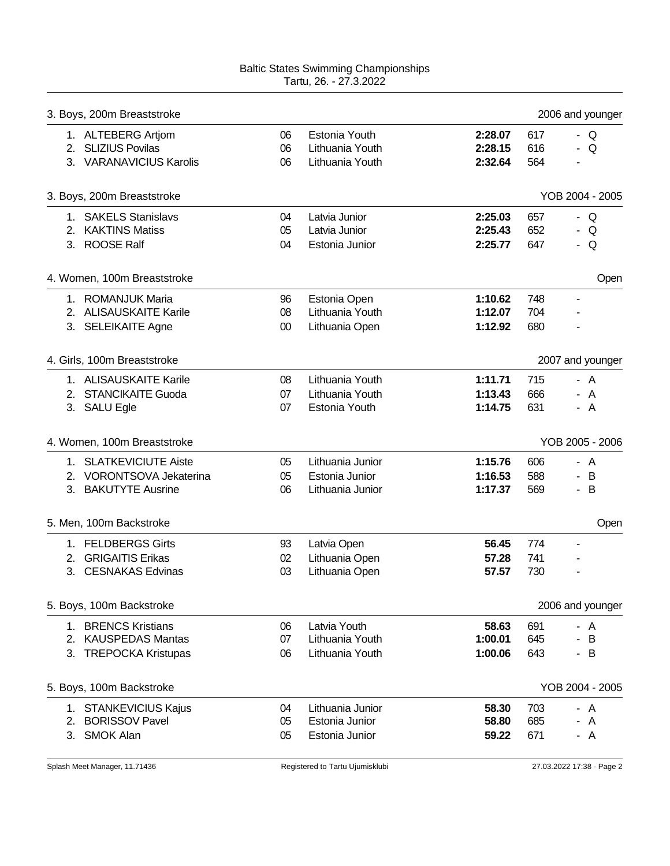| 3. Boys, 200m Breaststroke    |        |                  |         |     | 2006 and younger         |
|-------------------------------|--------|------------------|---------|-----|--------------------------|
| 1. ALTEBERG Artjom            | 06     | Estonia Youth    | 2:28.07 | 617 | - $Q$                    |
| 2. SLIZIUS Povilas            | 06     | Lithuania Youth  | 2:28.15 | 616 | - $Q$                    |
| 3. VARANAVICIUS Karolis       | 06     | Lithuania Youth  | 2:32.64 | 564 |                          |
| 3. Boys, 200m Breaststroke    |        |                  |         |     | YOB 2004 - 2005          |
| 1. SAKELS Stanislavs          | 04     | Latvia Junior    | 2:25.03 | 657 | - Q                      |
| 2. KAKTINS Matiss             | 05     | Latvia Junior    | 2:25.43 | 652 | - Q                      |
| 3. ROOSE Ralf                 | 04     | Estonia Junior   | 2:25.77 | 647 | - Q                      |
| 4. Women, 100m Breaststroke   |        |                  |         |     | Open                     |
| 1. ROMANJUK Maria             | 96     | Estonia Open     | 1:10.62 | 748 | $\blacksquare$           |
| 2. ALISAUSKAITE Karile        | 08     | Lithuania Youth  | 1:12.07 | 704 |                          |
| 3. SELEIKAITE Agne            | $00\,$ | Lithuania Open   | 1:12.92 | 680 |                          |
| 4. Girls, 100m Breaststroke   |        |                  |         |     | 2007 and younger         |
| 1. ALISAUSKAITE Karile        | 08     | Lithuania Youth  | 1:11.71 | 715 | - A                      |
| 2. STANCIKAITE Guoda          | 07     | Lithuania Youth  | 1:13.43 | 666 | - A                      |
| 3. SALU Egle                  | 07     | Estonia Youth    | 1:14.75 | 631 | - A                      |
| 4. Women, 100m Breaststroke   |        |                  |         |     | YOB 2005 - 2006          |
| 1. SLATKEVICIUTE Aiste        | 05     | Lithuania Junior | 1:15.76 | 606 | - A                      |
| 2. VORONTSOVA Jekaterina      | 05     | Estonia Junior   | 1:16.53 | 588 | - B                      |
| 3. BAKUTYTE Ausrine           | 06     | Lithuania Junior | 1:17.37 | 569 | - B                      |
| 5. Men, 100m Backstroke       |        |                  |         |     | Open                     |
| 1. FELDBERGS Girts            | 93     | Latvia Open      | 56.45   | 774 | $\overline{\phantom{a}}$ |
| 2. GRIGAITIS Erikas           | 02     | Lithuania Open   | 57.28   | 741 |                          |
| <b>CESNAKAS Edvinas</b><br>3. | 03     | Lithuania Open   | 57.57   | 730 |                          |
| 5. Boys, 100m Backstroke      |        |                  |         |     | 2006 and younger         |
| 1. BRENCS Kristians           | 06     | Latvia Youth     | 58.63   | 691 | - A                      |
| 2. KAUSPEDAS Mantas           | 07     | Lithuania Youth  | 1:00.01 | 645 | - B                      |
| 3. TREPOCKA Kristupas         | 06     | Lithuania Youth  | 1:00.06 | 643 | - B                      |
| 5. Boys, 100m Backstroke      |        |                  |         |     | YOB 2004 - 2005          |
| 1. STANKEVICIUS Kajus         | 04     | Lithuania Junior | 58.30   | 703 | - A                      |
| 2. BORISSOV Pavel             | 05     | Estonia Junior   | 58.80   | 685 | A                        |
| <b>SMOK Alan</b><br>3.        | 05     | Estonia Junior   | 59.22   | 671 | - A                      |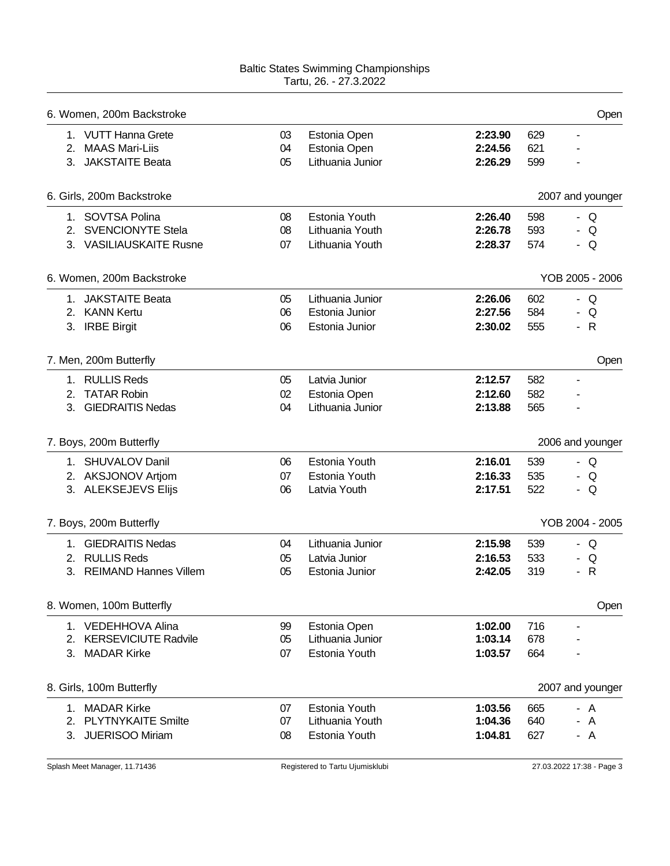|    | 6. Women, 200m Backstroke    |    |                  |         |     | Open                |
|----|------------------------------|----|------------------|---------|-----|---------------------|
|    | 1. VUTT Hanna Grete          | 03 | Estonia Open     | 2:23.90 | 629 | ٠                   |
|    | 2. MAAS Mari-Liis            | 04 | Estonia Open     | 2:24.56 | 621 |                     |
|    | 3. JAKSTAITE Beata           | 05 | Lithuania Junior | 2:26.29 | 599 |                     |
|    | 6. Girls, 200m Backstroke    |    |                  |         |     | 2007 and younger    |
|    | 1. SOVTSA Polina             | 08 | Estonia Youth    | 2:26.40 | 598 | - Q                 |
|    | 2. SVENCIONYTE Stela         | 08 | Lithuania Youth  | 2:26.78 | 593 | Q<br>$\blacksquare$ |
|    | 3. VASILIAUSKAITE Rusne      | 07 | Lithuania Youth  | 2:28.37 | 574 | - Q                 |
|    | 6. Women, 200m Backstroke    |    |                  |         |     | YOB 2005 - 2006     |
|    | 1. JAKSTAITE Beata           | 05 | Lithuania Junior | 2:26.06 | 602 | - Q                 |
|    | 2. KANN Kertu                | 06 | Estonia Junior   | 2:27.56 | 584 | - Q                 |
|    | 3. IRBE Birgit               | 06 | Estonia Junior   | 2:30.02 | 555 | $-R$                |
|    | 7. Men, 200m Butterfly       |    |                  |         |     | Open                |
|    | 1. RULLIS Reds               | 05 | Latvia Junior    | 2:12.57 | 582 | -                   |
| 2. | <b>TATAR Robin</b>           | 02 | Estonia Open     | 2:12.60 | 582 |                     |
| 3. | <b>GIEDRAITIS Nedas</b>      | 04 | Lithuania Junior | 2:13.88 | 565 |                     |
|    | 7. Boys, 200m Butterfly      |    |                  |         |     | 2006 and younger    |
|    | 1. SHUVALOV Danil            | 06 | Estonia Youth    | 2:16.01 | 539 | - Q                 |
|    | 2. AKSJONOV Artjom           | 07 | Estonia Youth    | 2:16.33 | 535 | - Q                 |
|    | 3. ALEKSEJEVS Elijs          | 06 | Latvia Youth     | 2:17.51 | 522 | - Q                 |
|    | 7. Boys, 200m Butterfly      |    |                  |         |     | YOB 2004 - 2005     |
|    | 1. GIEDRAITIS Nedas          | 04 | Lithuania Junior | 2:15.98 | 539 | - Q                 |
|    | 2. RULLIS Reds               | 05 | Latvia Junior    | 2:16.53 | 533 | Q<br>۰              |
| 3. | <b>REIMAND Hannes Villem</b> | 05 | Estonia Junior   | 2:42.05 | 319 | $\mathsf{R}$<br>-   |
|    | 8. Women, 100m Butterfly     |    |                  |         |     | Open                |
|    | 1. VEDEHHOVA Alina           | 99 | Estonia Open     | 1:02.00 | 716 | ۰                   |
|    |                              |    |                  |         |     |                     |
|    | 2. KERSEVICIUTE Radvile      | 05 | Lithuania Junior | 1:03.14 | 678 |                     |
|    | 3. MADAR Kirke               | 07 | Estonia Youth    | 1:03.57 | 664 |                     |
|    | 8. Girls, 100m Butterfly     |    |                  |         |     | 2007 and younger    |
|    | 1. MADAR Kirke               | 07 | Estonia Youth    | 1:03.56 | 665 | - A                 |
|    | 2. PLYTNYKAITE Smilte        | 07 | Lithuania Youth  | 1:04.36 | 640 | $\overline{A}$      |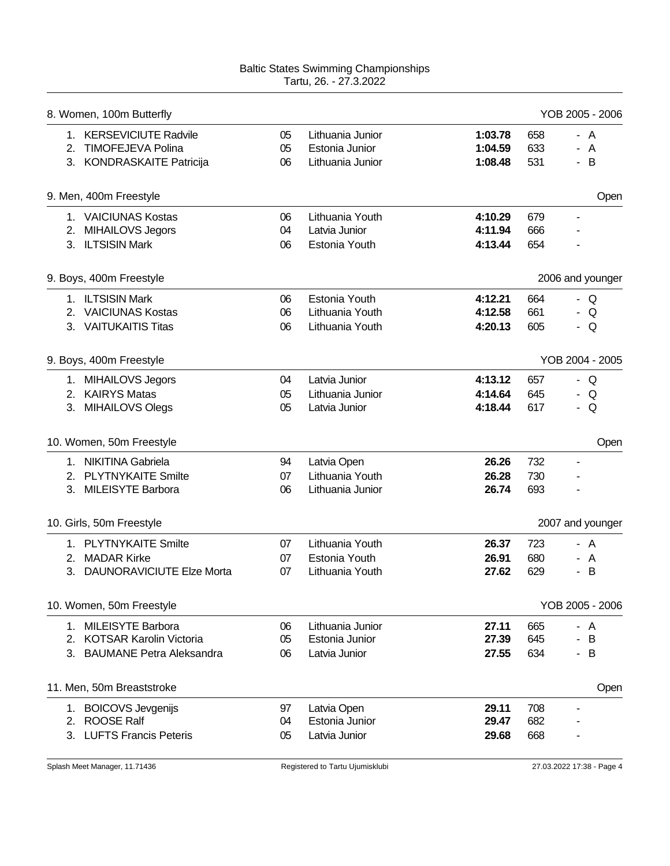| 8. Women, 100m Butterfly     |    |                  |         |     | YOB 2005 - 2006               |
|------------------------------|----|------------------|---------|-----|-------------------------------|
| 1. KERSEVICIUTE Radvile      | 05 | Lithuania Junior | 1:03.78 | 658 | - A                           |
| 2. TIMOFEJEVA Polina         | 05 | Estonia Junior   | 1:04.59 | 633 | - A                           |
| 3. KONDRASKAITE Patricija    | 06 | Lithuania Junior | 1:08.48 | 531 | B<br>$\blacksquare$           |
| 9. Men, 400m Freestyle       |    |                  |         |     | Open                          |
| 1. VAICIUNAS Kostas          | 06 | Lithuania Youth  | 4:10.29 | 679 | $\overline{\phantom{a}}$      |
| 2. MIHAILOVS Jegors          | 04 | Latvia Junior    | 4:11.94 | 666 |                               |
| 3. ILTSISIN Mark             | 06 | Estonia Youth    | 4:13.44 | 654 | $\overline{\phantom{0}}$      |
| 9. Boys, 400m Freestyle      |    |                  |         |     | 2006 and younger              |
| 1. ILTSISIN Mark             | 06 | Estonia Youth    | 4:12.21 | 664 | - Q                           |
| 2. VAICIUNAS Kostas          | 06 | Lithuania Youth  | 4:12.58 | 661 | - Q                           |
| 3. VAITUKAITIS Titas         | 06 | Lithuania Youth  | 4:20.13 | 605 | - Q                           |
| 9. Boys, 400m Freestyle      |    |                  |         |     | YOB 2004 - 2005               |
| 1. MIHAILOVS Jegors          | 04 | Latvia Junior    | 4:13.12 | 657 | - Q                           |
| 2. KAIRYS Matas              | 05 | Lithuania Junior | 4:14.64 | 645 | Q<br>н.                       |
| 3. MIHAILOVS Olegs           | 05 | Latvia Junior    | 4:18.44 | 617 | Q<br>$\overline{\phantom{0}}$ |
| 10. Women, 50m Freestyle     |    |                  |         |     | Open                          |
| 1. NIKITINA Gabriela         | 94 | Latvia Open      | 26.26   | 732 | $\overline{\phantom{a}}$      |
| 2. PLYTNYKAITE Smilte        | 07 | Lithuania Youth  | 26.28   | 730 |                               |
| 3. MILEISYTE Barbora         | 06 | Lithuania Junior | 26.74   | 693 |                               |
| 10. Girls, 50m Freestyle     |    |                  |         |     | 2007 and younger              |
| 1. PLYTNYKAITE Smilte        | 07 | Lithuania Youth  | 26.37   | 723 | - A                           |
| 2. MADAR Kirke               | 07 | Estonia Youth    | 26.91   | 680 | A<br>-                        |
| 3. DAUNORAVICIUTE Elze Morta | 07 | Lithuania Youth  | 27.62   | 629 | B<br>$\overline{\phantom{0}}$ |
| 10. Women, 50m Freestyle     |    |                  |         |     | YOB 2005 - 2006               |
| 1. MILEISYTE Barbora         | 06 | Lithuania Junior | 27.11   | 665 | - A                           |
| 2. KOTSAR Karolin Victoria   | 05 | Estonia Junior   | 27.39   | 645 | B<br>٠                        |
| 3. BAUMANE Petra Aleksandra  | 06 | Latvia Junior    | 27.55   | 634 | B<br>۰.                       |
| 11. Men, 50m Breaststroke    |    |                  |         |     | Open                          |
| 1. BOICOVS Jevgenijs         | 97 | Latvia Open      | 29.11   | 708 |                               |
| 2. ROOSE Ralf                | 04 | Estonia Junior   | 29.47   | 682 |                               |
| 3. LUFTS Francis Peteris     | 05 | Latvia Junior    | 29.68   | 668 |                               |
|                              |    |                  |         |     |                               |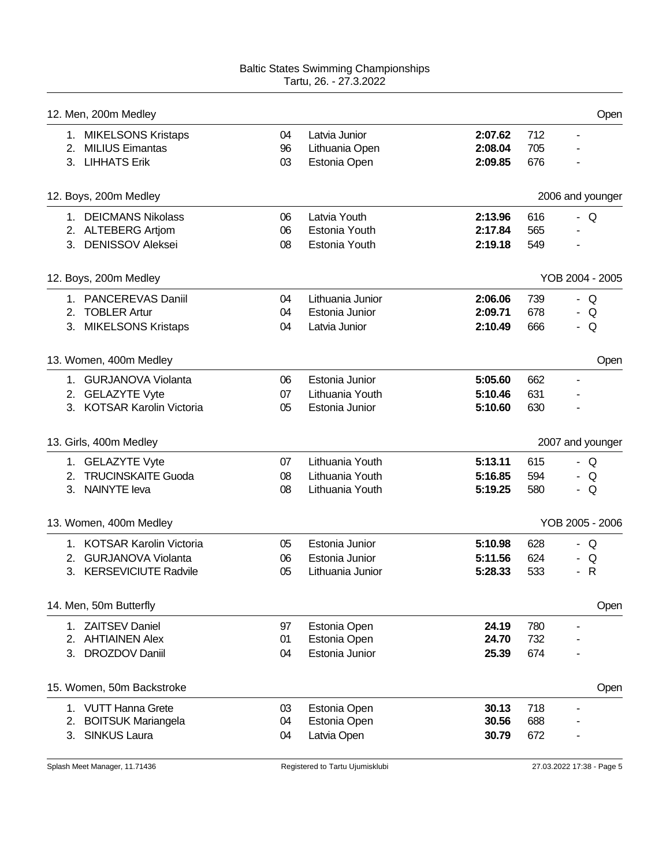|    | 12. Men, 200m Medley       |    |                  |         |     | Open                     |
|----|----------------------------|----|------------------|---------|-----|--------------------------|
|    | 1. MIKELSONS Kristaps      | 04 | Latvia Junior    | 2:07.62 | 712 | $\overline{\phantom{a}}$ |
|    | 2. MILIUS Eimantas         | 96 | Lithuania Open   | 2:08.04 | 705 |                          |
|    | 3. LIHHATS Erik            | 03 | Estonia Open     | 2:09.85 | 676 |                          |
|    | 12. Boys, 200m Medley      |    |                  |         |     | 2006 and younger         |
|    | 1. DEICMANS Nikolass       | 06 | Latvia Youth     | 2:13.96 | 616 | - Q                      |
|    | 2. ALTEBERG Artjom         | 06 | Estonia Youth    | 2:17.84 | 565 |                          |
|    | 3. DENISSOV Aleksei        | 08 | Estonia Youth    | 2:19.18 | 549 | $\blacksquare$           |
|    | 12. Boys, 200m Medley      |    |                  |         |     | YOB 2004 - 2005          |
|    | 1. PANCEREVAS Daniil       | 04 | Lithuania Junior | 2:06.06 | 739 | - $Q$                    |
|    | 2. TOBLER Artur            | 04 | Estonia Junior   | 2:09.71 | 678 | - $Q$                    |
|    | 3. MIKELSONS Kristaps      | 04 | Latvia Junior    | 2:10.49 | 666 | Q<br>н.                  |
|    | 13. Women, 400m Medley     |    |                  |         |     | Open                     |
|    | 1. GURJANOVA Violanta      | 06 | Estonia Junior   | 5:05.60 | 662 |                          |
|    | 2. GELAZYTE Vyte           | 07 | Lithuania Youth  | 5:10.46 | 631 |                          |
|    | 3. KOTSAR Karolin Victoria | 05 | Estonia Junior   | 5:10.60 | 630 |                          |
|    | 13. Girls, 400m Medley     |    |                  |         |     | 2007 and younger         |
|    | 1. GELAZYTE Vyte           | 07 | Lithuania Youth  | 5:13.11 | 615 | - Q                      |
|    | 2. TRUCINSKAITE Guoda      | 08 | Lithuania Youth  | 5:16.85 | 594 | - $Q$                    |
|    | 3. NAINYTE leva            | 08 | Lithuania Youth  | 5:19.25 | 580 | - $Q$                    |
|    | 13. Women, 400m Medley     |    |                  |         |     | YOB 2005 - 2006          |
|    | 1. KOTSAR Karolin Victoria | 05 | Estonia Junior   | 5:10.98 | 628 | - Q                      |
| 2. | <b>GURJANOVA Violanta</b>  | 06 | Estonia Junior   | 5:11.56 | 624 | Q                        |
|    | 3. KERSEVICIUTE Radvile    | 05 | Lithuania Junior | 5:28.33 | 533 | $\mathsf{R}$<br>۰.       |
|    | 14. Men, 50m Butterfly     |    |                  |         |     | Open                     |
|    | 1. ZAITSEV Daniel          | 97 | Estonia Open     | 24.19   | 780 | ÷                        |
| 2. | <b>AHTIAINEN Alex</b>      | 01 | Estonia Open     | 24.70   | 732 |                          |
|    | 3. DROZDOV Daniil          | 04 | Estonia Junior   | 25.39   | 674 |                          |
|    | 15. Women, 50m Backstroke  |    |                  |         |     | Open                     |
| 1. | <b>VUTT Hanna Grete</b>    | 03 | Estonia Open     | 30.13   | 718 |                          |
| 2. | <b>BOITSUK Mariangela</b>  | 04 | Estonia Open     | 30.56   | 688 |                          |
| 3. | <b>SINKUS Laura</b>        | 04 | Latvia Open      | 30.79   | 672 |                          |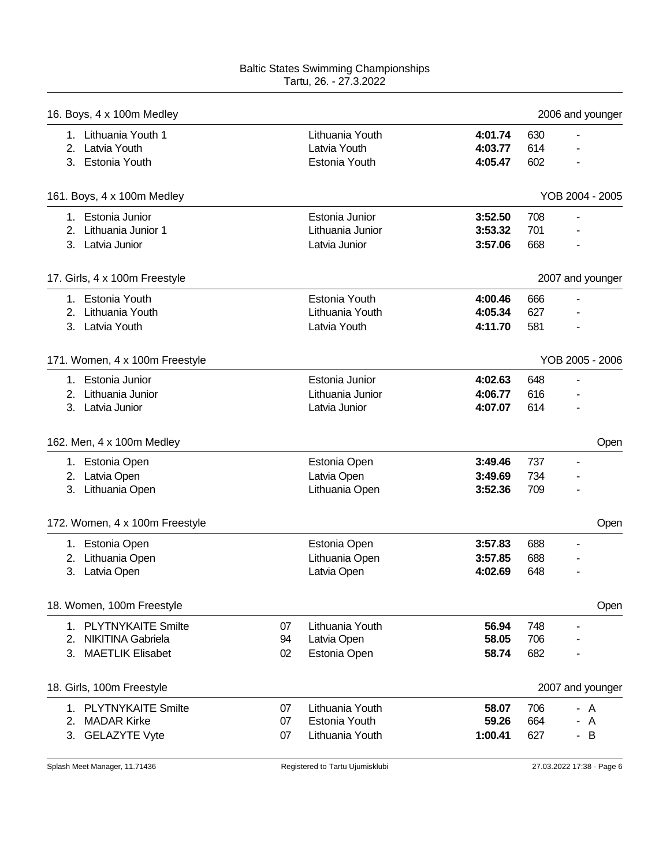| 16. Boys, 4 x 100m Medley      |    |                  |         |     | 2006 and younger         |
|--------------------------------|----|------------------|---------|-----|--------------------------|
| 1. Lithuania Youth 1           |    | Lithuania Youth  | 4:01.74 | 630 |                          |
| 2. Latvia Youth                |    | Latvia Youth     | 4:03.77 | 614 |                          |
| 3. Estonia Youth               |    | Estonia Youth    | 4:05.47 | 602 |                          |
| 161. Boys, 4 x 100m Medley     |    |                  |         |     | YOB 2004 - 2005          |
| 1. Estonia Junior              |    | Estonia Junior   | 3:52.50 | 708 | ۰                        |
| 2. Lithuania Junior 1          |    | Lithuania Junior | 3:53.32 | 701 | L,                       |
| 3. Latvia Junior               |    | Latvia Junior    | 3:57.06 | 668 |                          |
| 17. Girls, 4 x 100m Freestyle  |    |                  |         |     | 2007 and younger         |
| 1. Estonia Youth               |    | Estonia Youth    | 4:00.46 | 666 |                          |
| 2. Lithuania Youth             |    | Lithuania Youth  | 4:05.34 | 627 |                          |
| 3. Latvia Youth                |    | Latvia Youth     | 4:11.70 | 581 |                          |
|                                |    |                  |         |     |                          |
| 171. Women, 4 x 100m Freestyle |    |                  |         |     | YOB 2005 - 2006          |
| 1. Estonia Junior              |    | Estonia Junior   | 4:02.63 | 648 | $\overline{\phantom{a}}$ |
| 2. Lithuania Junior            |    | Lithuania Junior | 4:06.77 | 616 |                          |
| 3. Latvia Junior               |    | Latvia Junior    | 4:07.07 | 614 |                          |
| 162. Men, 4 x 100m Medley      |    |                  |         |     | Open                     |
| 1. Estonia Open                |    | Estonia Open     | 3:49.46 | 737 | $\blacksquare$           |
| 2. Latvia Open                 |    | Latvia Open      | 3:49.69 | 734 |                          |
| 3. Lithuania Open              |    | Lithuania Open   | 3:52.36 | 709 |                          |
| 172. Women, 4 x 100m Freestyle |    |                  |         |     | Open                     |
| 1. Estonia Open                |    | Estonia Open     | 3:57.83 | 688 | $\overline{\phantom{a}}$ |
| 2. Lithuania Open              |    | Lithuania Open   | 3:57.85 | 688 |                          |
| Latvia Open<br>3.              |    | Latvia Open      | 4:02.69 | 648 |                          |
| 18. Women, 100m Freestyle      |    |                  |         |     | Open                     |
| 1. PLYTNYKAITE Smilte          | 07 | Lithuania Youth  | 56.94   | 748 | $\overline{\phantom{a}}$ |
| 2. NIKITINA Gabriela           | 94 | Latvia Open      | 58.05   | 706 |                          |
| 3. MAETLIK Elisabet            | 02 | Estonia Open     | 58.74   | 682 |                          |
|                                |    |                  |         |     |                          |
| 18. Girls, 100m Freestyle      |    |                  |         |     | 2007 and younger         |
| 1. PLYTNYKAITE Smilte          | 07 | Lithuania Youth  | 58.07   | 706 | - A                      |
| 2. MADAR Kirke                 | 07 | Estonia Youth    | 59.26   | 664 | - A                      |
| 3. GELAZYTE Vyte               | 07 | Lithuania Youth  | 1:00.41 | 627 | - B                      |
|                                |    |                  |         |     |                          |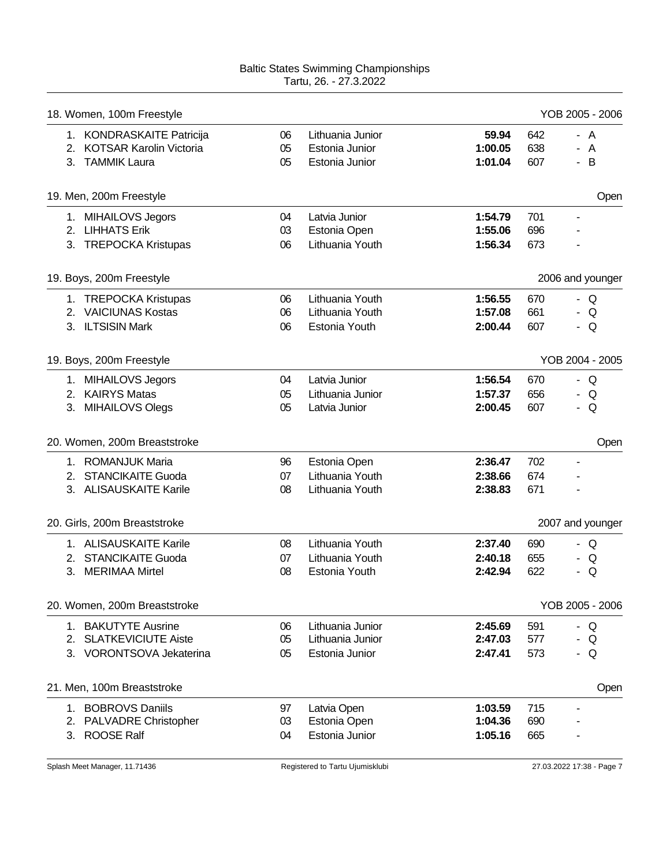| 18. Women, 100m Freestyle                     |          |                             |                    |            | YOB 2005 - 2006          |
|-----------------------------------------------|----------|-----------------------------|--------------------|------------|--------------------------|
| 1. KONDRASKAITE Patricija                     | 06       | Lithuania Junior            | 59.94              | 642        | - A                      |
| 2. KOTSAR Karolin Victoria                    | 05       | Estonia Junior              | 1:00.05            | 638        | - A                      |
| 3. TAMMIK Laura                               | 05       | Estonia Junior              | 1:01.04            | 607        | B<br>$\sim$              |
| 19. Men, 200m Freestyle                       |          |                             |                    |            | Open                     |
| 1. MIHAILOVS Jegors                           | 04       | Latvia Junior               | 1:54.79            | 701        | $\overline{\phantom{a}}$ |
| 2. LIHHATS Erik                               | 03       | Estonia Open                | 1:55.06            | 696        |                          |
| 3. TREPOCKA Kristupas                         | 06       | Lithuania Youth             | 1:56.34            | 673        | -                        |
| 19. Boys, 200m Freestyle                      |          |                             |                    |            | 2006 and younger         |
| 1. TREPOCKA Kristupas                         | 06       | Lithuania Youth             | 1:56.55            | 670        | - $Q$                    |
| 2. VAICIUNAS Kostas                           | 06       | Lithuania Youth             | 1:57.08            | 661        | - $Q$                    |
| 3. ILTSISIN Mark                              | 06       | Estonia Youth               | 2:00.44            | 607        | - $Q$                    |
| 19. Boys, 200m Freestyle                      |          |                             |                    |            | YOB 2004 - 2005          |
| 1. MIHAILOVS Jegors                           | 04       | Latvia Junior               | 1:56.54            | 670        | - Q                      |
| 2. KAIRYS Matas                               | 05       | Lithuania Junior            | 1:57.37            | 656        | Q<br>$\sim$              |
| 3. MIHAILOVS Olegs                            | 05       | Latvia Junior               | 2:00.45            | 607        | Q<br>۰.                  |
| 20. Women, 200m Breaststroke                  |          |                             |                    |            | Open                     |
|                                               |          |                             |                    |            |                          |
| 1. ROMANJUK Maria                             | 96       | Estonia Open                | 2:36.47            | 702        | $\overline{\phantom{a}}$ |
| 2. STANCIKAITE Guoda                          | 07       | Lithuania Youth             | 2:38.66            | 674        |                          |
| 3. ALISAUSKAITE Karile                        | 08       | Lithuania Youth             | 2:38.83            | 671        |                          |
| 20. Girls, 200m Breaststroke                  |          |                             |                    |            | 2007 and younger         |
| 1. ALISAUSKAITE Karile                        | 08       | Lithuania Youth             | 2:37.40            | 690        | - Q                      |
| 2. STANCIKAITE Guoda                          | 07       | Lithuania Youth             | 2:40.18            | 655        | Q<br>۰.                  |
| 3. MERIMAA Mirtel                             | 08       | Estonia Youth               | 2:42.94            | 622        | Q<br>$\blacksquare$      |
| 20. Women, 200m Breaststroke                  |          |                             |                    |            | YOB 2005 - 2006          |
| 1. BAKUTYTE Ausrine                           | 06       | Lithuania Junior            | 2:45.69            | 591        | - Q                      |
| 2. SLATKEVICIUTE Aiste                        | 05       | Lithuania Junior            | 2:47.03            | 577        | Q                        |
| 3. VORONTSOVA Jekaterina                      | 05       | Estonia Junior              | 2:47.41            | 573        | - Q                      |
| 21. Men, 100m Breaststroke                    |          |                             |                    |            | Open                     |
|                                               |          |                             |                    |            |                          |
| 1. BOBROVS Daniils<br>2. PALVADRE Christopher | 97<br>03 | Latvia Open<br>Estonia Open | 1:03.59<br>1:04.36 | 715<br>690 |                          |
| 3. ROOSE Ralf                                 | 04       | Estonia Junior              | 1:05.16            | 665        |                          |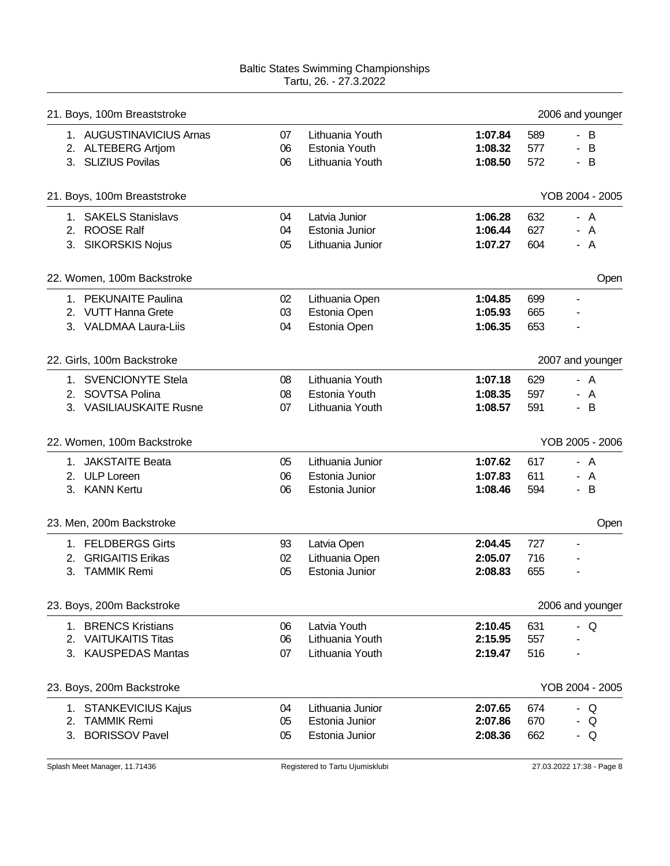|    | 21. Boys, 100m Breaststroke             |          |                                  |                    |            | 2006 and younger         |
|----|-----------------------------------------|----------|----------------------------------|--------------------|------------|--------------------------|
|    | 1. AUGUSTINAVICIUS Arnas                | 07       | Lithuania Youth                  | 1:07.84            | 589        | - B                      |
|    | 2. ALTEBERG Artjom                      | 06       | Estonia Youth                    | 1:08.32            | 577        | - B                      |
|    | 3. SLIZIUS Povilas                      | 06       | Lithuania Youth                  | 1:08.50            | 572        | - B                      |
|    | 21. Boys, 100m Breaststroke             |          |                                  |                    |            | YOB 2004 - 2005          |
|    | 1. SAKELS Stanislavs                    | 04       | Latvia Junior                    | 1:06.28            | 632        | - A                      |
|    | 2. ROOSE Ralf                           | 04       | Estonia Junior                   | 1:06.44            | 627        | - A                      |
|    | 3. SIKORSKIS Nojus                      | 05       | Lithuania Junior                 | 1:07.27            | 604        | - A                      |
|    | 22. Women, 100m Backstroke              |          |                                  |                    |            | Open                     |
|    | 1. PEKUNAITE Paulina                    | 02       | Lithuania Open                   | 1:04.85            | 699        |                          |
|    | 2. VUTT Hanna Grete                     | 03       | Estonia Open                     | 1:05.93            | 665        |                          |
|    | 3. VALDMAA Laura-Liis                   | 04       | Estonia Open                     | 1:06.35            | 653        |                          |
|    | 22. Girls, 100m Backstroke              |          |                                  |                    |            | 2007 and younger         |
|    | 1. SVENCIONYTE Stela                    | 08       | Lithuania Youth                  | 1:07.18            | 629        | - A                      |
| 2. | SOVTSA Polina                           | 08       | Estonia Youth                    | 1:08.35            | 597        | - A                      |
|    | 3. VASILIAUSKAITE Rusne                 | 07       | Lithuania Youth                  | 1:08.57            | 591        | B<br>$\sim$              |
|    |                                         |          |                                  |                    |            |                          |
|    | 22. Women, 100m Backstroke              |          |                                  |                    |            | YOB 2005 - 2006          |
|    | 1. JAKSTAITE Beata                      | 05       | Lithuania Junior                 | 1:07.62            | 617        | - A                      |
|    |                                         |          |                                  |                    |            |                          |
|    | 2. ULP Loreen<br>3. KANN Kertu          | 06<br>06 | Estonia Junior<br>Estonia Junior | 1:07.83<br>1:08.46 | 611<br>594 | - A<br>B<br>$\sim$       |
|    | 23. Men, 200m Backstroke                |          |                                  |                    |            | Open                     |
|    | 1. FELDBERGS Girts                      | 93       | Latvia Open                      | 2:04.45            | 727        | $\overline{\phantom{a}}$ |
|    | 2. GRIGAITIS Erikas                     | 02       | Lithuania Open                   | 2:05.07            | 716        |                          |
| 3. | <b>TAMMIK Remi</b>                      | 05       | Estonia Junior                   | 2:08.83            | 655        |                          |
|    | 23. Boys, 200m Backstroke               |          |                                  |                    |            | 2006 and younger         |
|    | 1. BRENCS Kristians                     | 06       | Latvia Youth                     | 2:10.45            | 631        | - Q                      |
|    | 2. VAITUKAITIS Titas                    | 06       | Lithuania Youth                  | 2:15.95            | 557        |                          |
|    | 3. KAUSPEDAS Mantas                     | 07       | Lithuania Youth                  | 2:19.47            | 516        |                          |
|    | 23. Boys, 200m Backstroke               |          |                                  |                    |            | YOB 2004 - 2005          |
|    |                                         | 04       | Lithuania Junior                 |                    | 674        | Q<br>$\sim$              |
|    | 1. STANKEVICIUS Kajus<br>2. TAMMIK Remi | 05       | Estonia Junior                   | 2:07.65<br>2:07.86 | 670        | Q                        |
|    | 3. BORISSOV Pavel                       | 05       | Estonia Junior                   | 2:08.36            | 662        | Q<br>۰.                  |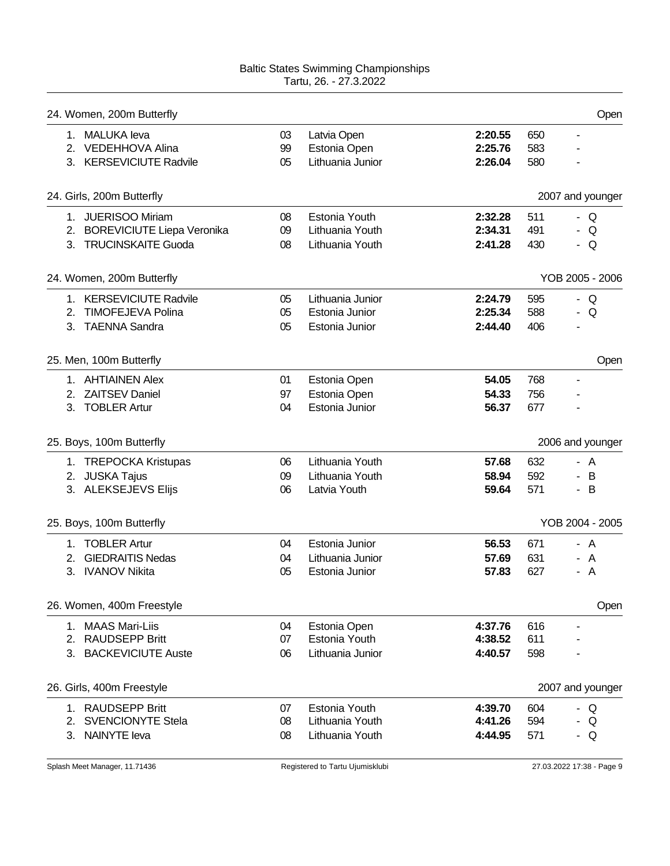|    | 24. Women, 200m Butterfly                                                        |                |                                                      |                               |                   | Open                                |
|----|----------------------------------------------------------------------------------|----------------|------------------------------------------------------|-------------------------------|-------------------|-------------------------------------|
| 1. | <b>MALUKA</b> leva<br>2. VEDEHHOVA Alina<br>3. KERSEVICIUTE Radvile              | 03<br>99<br>05 | Latvia Open<br>Estonia Open<br>Lithuania Junior      | 2:20.55<br>2:25.76<br>2:26.04 | 650<br>583<br>580 | $\blacksquare$                      |
|    | 24. Girls, 200m Butterfly                                                        |                |                                                      |                               |                   | 2007 and younger                    |
| 1. | <b>JUERISOO Miriam</b><br>2. BOREVICIUTE Liepa Veronika<br>3. TRUCINSKAITE Guoda | 08<br>09<br>08 | Estonia Youth<br>Lithuania Youth<br>Lithuania Youth  | 2:32.28<br>2:34.31<br>2:41.28 | 511<br>491<br>430 | Q<br>$\blacksquare$<br>Q<br>Q<br>۰. |
|    | 24. Women, 200m Butterfly                                                        |                |                                                      |                               |                   | YOB 2005 - 2006                     |
| 2. | 1. KERSEVICIUTE Radvile<br><b>TIMOFEJEVA Polina</b><br>3. TAENNA Sandra          | 05<br>05<br>05 | Lithuania Junior<br>Estonia Junior<br>Estonia Junior | 2:24.79<br>2:25.34<br>2:44.40 | 595<br>588<br>406 | - Q<br>Q<br>$\sim$                  |
|    | 25. Men, 100m Butterfly                                                          |                |                                                      |                               |                   | Open                                |
| 2. | 1. AHTIAINEN Alex<br><b>ZAITSEV Daniel</b><br>3. TOBLER Artur                    | 01<br>97<br>04 | Estonia Open<br>Estonia Open<br>Estonia Junior       | 54.05<br>54.33<br>56.37       | 768<br>756<br>677 | ä,                                  |
|    | 25. Boys, 100m Butterfly                                                         |                |                                                      |                               |                   | 2006 and younger                    |
|    | 1. TREPOCKA Kristupas<br>2. JUSKA Tajus<br>3. ALEKSEJEVS Elijs                   | 06<br>09<br>06 | Lithuania Youth<br>Lithuania Youth<br>Latvia Youth   | 57.68<br>58.94<br>59.64       | 632<br>592<br>571 | - A<br>B<br>$\sim$<br>B<br>÷.       |
|    | 25. Boys, 100m Butterfly                                                         |                |                                                      |                               |                   | YOB 2004 - 2005                     |
| 2. | 1. TOBLER Artur<br><b>GIEDRAITIS Nedas</b><br>3. IVANOV Nikita                   | 04<br>04<br>05 | Estonia Junior<br>Lithuania Junior<br>Estonia Junior | 56.53<br>57.69<br>57.83       | 671<br>631<br>627 | - A<br>A<br>$\overline{A}$          |
|    | 26. Women, 400m Freestyle                                                        |                |                                                      |                               |                   | Open                                |
| 2. | 1. MAAS Mari-Liis<br><b>RAUDSEPP Britt</b><br>3. BACKEVICIUTE Auste              | 04<br>07<br>06 | Estonia Open<br>Estonia Youth<br>Lithuania Junior    | 4:37.76<br>4:38.52<br>4:40.57 | 616<br>611<br>598 | -                                   |
|    | 26. Girls, 400m Freestyle                                                        |                |                                                      |                               |                   | 2007 and younger                    |
|    | 1. RAUDSEPP Britt<br>2. SVENCIONYTE Stela<br>3. NAINYTE leva                     | 07<br>08<br>08 | Estonia Youth<br>Lithuania Youth<br>Lithuania Youth  | 4:39.70<br>4:41.26<br>4:44.95 | 604<br>594<br>571 | - Q<br>Q<br>÷.<br>Q<br>н.           |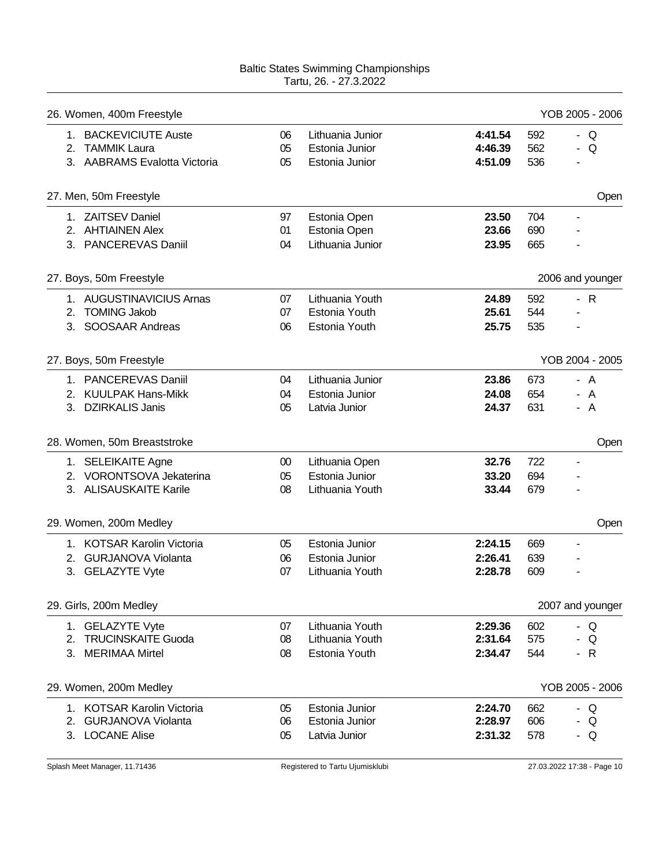|    | 26. Women, 400m Freestyle                  |          |                                 |                    |            | YOB 2005 - 2006          |
|----|--------------------------------------------|----------|---------------------------------|--------------------|------------|--------------------------|
|    | 1. BACKEVICIUTE Auste                      | 06       | Lithuania Junior                | 4:41.54            | 592        | - $Q$                    |
| 2. | <b>TAMMIK Laura</b>                        | 05       | Estonia Junior                  | 4:46.39            | 562        | Q<br>÷.                  |
|    | 3. AABRAMS Evalotta Victoria               | 05       | Estonia Junior                  | 4:51.09            | 536        |                          |
|    | 27. Men, 50m Freestyle                     |          |                                 |                    |            | Open                     |
|    | 1. ZAITSEV Daniel                          | 97       | Estonia Open                    | 23.50              | 704        | $\overline{\phantom{a}}$ |
|    | 2. AHTIAINEN Alex                          | 01       | Estonia Open                    | 23.66              | 690        |                          |
|    | 3. PANCEREVAS Daniil                       | 04       | Lithuania Junior                | 23.95              | 665        |                          |
|    | 27. Boys, 50m Freestyle                    |          |                                 |                    |            | 2006 and younger         |
|    | 1. AUGUSTINAVICIUS Arnas                   | 07       | Lithuania Youth                 | 24.89              | 592        | $-R$                     |
| 2. | <b>TOMING Jakob</b>                        | 07       | Estonia Youth                   | 25.61              | 544        |                          |
| 3. | <b>SOOSAAR Andreas</b>                     | 06       | Estonia Youth                   | 25.75              | 535        |                          |
|    | 27. Boys, 50m Freestyle                    |          |                                 |                    |            | YOB 2004 - 2005          |
|    | 1. PANCEREVAS Daniil                       | 04       | Lithuania Junior                | 23.86              | 673        | - A                      |
|    |                                            |          |                                 |                    |            |                          |
|    | 2. KUULPAK Hans-Mikk<br>3. DZIRKALIS Janis | 04<br>05 | Estonia Junior<br>Latvia Junior | 24.08<br>24.37     | 654<br>631 | - A<br>- A               |
|    |                                            |          |                                 |                    |            |                          |
|    | 28. Women, 50m Breaststroke                |          |                                 |                    |            | Open                     |
|    | 1. SELEIKAITE Agne                         | $00\,$   | Lithuania Open                  | 32.76              | 722        |                          |
|    | 2. VORONTSOVA Jekaterina                   |          | Estonia Junior                  | 33.20              | 694        |                          |
|    |                                            | 05       |                                 |                    |            |                          |
|    | 3. ALISAUSKAITE Karile                     | 08       | Lithuania Youth                 | 33.44              | 679        |                          |
|    | 29. Women, 200m Medley                     |          |                                 |                    |            | Open                     |
|    | 1. KOTSAR Karolin Victoria                 | 05       | Estonia Junior                  | 2:24.15            | 669        |                          |
|    | 2. GURJANOVA Violanta                      | 06       | Estonia Junior                  | 2:26.41            | 639        |                          |
|    | 3. GELAZYTE Vyte                           | 07       | Lithuania Youth                 | 2:28.78            | 609        |                          |
|    | 29. Girls, 200m Medley                     |          |                                 |                    |            | 2007 and younger         |
|    | 1. GELAZYTE Vyte                           | 07       | Lithuania Youth                 | 2:29.36            | 602        | - Q                      |
|    | 2. TRUCINSKAITE Guoda                      | 08       | Lithuania Youth                 | 2:31.64            | 575        | Q<br>۰.                  |
|    | 3. MERIMAA Mirtel                          | 08       | Estonia Youth                   | 2:34.47            | 544        | $-R$                     |
|    | 29. Women, 200m Medley                     |          |                                 |                    |            | YOB 2005 - 2006          |
|    |                                            |          |                                 |                    |            |                          |
|    | 1. KOTSAR Karolin Victoria                 | 05       | Estonia Junior                  | 2:24.70            | 662        | - Q                      |
|    | 2. GURJANOVA Violanta<br>3. LOCANE Alise   | 06<br>05 | Estonia Junior<br>Latvia Junior | 2:28.97<br>2:31.32 | 606<br>578 | Q<br>- Q                 |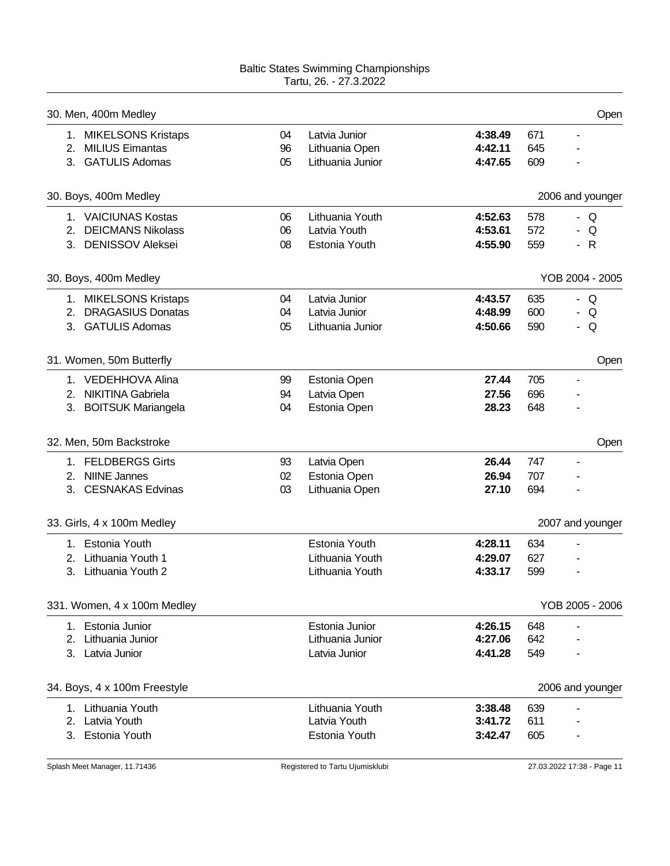|    | 30. Men, 400m Medley         |    |                  |         |     | Open                     |
|----|------------------------------|----|------------------|---------|-----|--------------------------|
|    | 1. MIKELSONS Kristaps        | 04 | Latvia Junior    | 4:38.49 | 671 | $\overline{\phantom{a}}$ |
|    | 2. MILIUS Eimantas           | 96 | Lithuania Open   | 4:42.11 | 645 |                          |
|    | 3. GATULIS Adomas            | 05 | Lithuania Junior | 4:47.65 | 609 |                          |
|    | 30. Boys, 400m Medley        |    |                  |         |     | 2006 and younger         |
|    | 1. VAICIUNAS Kostas          | 06 | Lithuania Youth  | 4:52.63 | 578 | Q<br>÷.                  |
|    | 2. DEICMANS Nikolass         | 06 | Latvia Youth     | 4:53.61 | 572 | Q                        |
|    | 3. DENISSOV Aleksei          | 08 | Estonia Youth    | 4:55.90 | 559 | - R                      |
|    | 30. Boys, 400m Medley        |    |                  |         |     | YOB 2004 - 2005          |
|    | 1. MIKELSONS Kristaps        | 04 | Latvia Junior    | 4:43.57 | 635 | - $Q$                    |
|    | 2. DRAGASIUS Donatas         | 04 | Latvia Junior    | 4:48.99 | 600 | Q<br>$\sim$              |
|    | 3. GATULIS Adomas            | 05 | Lithuania Junior | 4:50.66 | 590 | Q<br>۰.                  |
|    | 31. Women, 50m Butterfly     |    |                  |         |     | Open                     |
|    | 1. VEDEHHOVA Alina           | 99 | Estonia Open     | 27.44   | 705 | $\overline{\phantom{a}}$ |
|    | 2. NIKITINA Gabriela         | 94 | Latvia Open      | 27.56   | 696 |                          |
|    | 3. BOITSUK Mariangela        | 04 | Estonia Open     | 28.23   | 648 |                          |
|    | 32. Men, 50m Backstroke      |    |                  |         |     | Open                     |
|    | 1. FELDBERGS Girts           | 93 | Latvia Open      | 26.44   | 747 | $\blacksquare$           |
|    | 2. NIINE Jannes              | 02 | Estonia Open     | 26.94   | 707 |                          |
|    | 3. CESNAKAS Edvinas          | 03 | Lithuania Open   | 27.10   | 694 |                          |
|    | 33. Girls, 4 x 100m Medley   |    |                  |         |     | 2007 and younger         |
|    | 1. Estonia Youth             |    | Estonia Youth    | 4:28.11 | 634 |                          |
| 2. | Lithuania Youth 1            |    | Lithuania Youth  | 4:29.07 | 627 |                          |
|    | 3. Lithuania Youth 2         |    | Lithuania Youth  | 4:33.17 | 599 |                          |
|    | 331. Women, 4 x 100m Medley  |    |                  |         |     | YOB 2005 - 2006          |
|    | 1. Estonia Junior            |    | Estonia Junior   | 4:26.15 | 648 |                          |
| 2. | Lithuania Junior             |    | Lithuania Junior | 4:27.06 | 642 |                          |
|    | 3. Latvia Junior             |    | Latvia Junior    | 4:41.28 | 549 |                          |
|    | 34. Boys, 4 x 100m Freestyle |    |                  |         |     | 2006 and younger         |
|    | 1. Lithuania Youth           |    | Lithuania Youth  | 3:38.48 | 639 |                          |
| 2. | Latvia Youth                 |    | Latvia Youth     | 3:41.72 | 611 |                          |
|    | 3. Estonia Youth             |    | Estonia Youth    | 3:42.47 | 605 |                          |